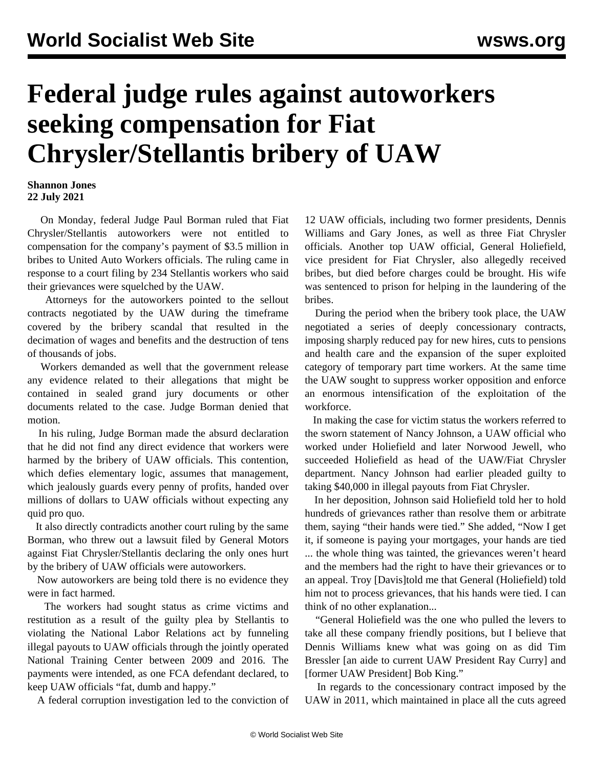## **Federal judge rules against autoworkers seeking compensation for Fiat Chrysler/Stellantis bribery of UAW**

## **Shannon Jones 22 July 2021**

 On Monday, federal Judge Paul Borman ruled that Fiat Chrysler/Stellantis autoworkers were not entitled to compensation for the company's payment of \$3.5 million in bribes to United Auto Workers officials. The ruling came in response to a court filing by 234 Stellantis workers who said their grievances were squelched by the UAW.

 Attorneys for the autoworkers pointed to the sellout contracts negotiated by the UAW during the timeframe covered by the bribery scandal that resulted in the decimation of wages and benefits and the destruction of tens of thousands of jobs.

 Workers demanded as well that the government release any evidence related to their allegations that might be contained in sealed grand jury documents or other documents related to the case. Judge Borman denied that motion.

 In his ruling, Judge Borman made the absurd declaration that he did not find any direct evidence that workers were harmed by the bribery of UAW officials. This contention, which defies elementary logic, assumes that management, which jealously guards every penny of profits, handed over millions of dollars to UAW officials without expecting any quid pro quo.

 It also directly contradicts another court ruling by the same Borman, who threw out a lawsuit filed by General Motors against Fiat Chrysler/Stellantis declaring the only ones hurt by the bribery of UAW officials were autoworkers.

 Now autoworkers are being told there is no evidence they were in fact harmed.

 The workers had sought status as crime victims and restitution as a result of the guilty plea by Stellantis to violating the National Labor Relations act by funneling illegal payouts to UAW officials through the jointly operated National Training Center between 2009 and 2016. The payments were intended, as one FCA defendant declared, to keep UAW officials "fat, dumb and happy."

A federal corruption investigation led to the conviction of

12 UAW officials, including two former presidents, Dennis Williams and Gary Jones, as well as three Fiat Chrysler officials. Another top UAW official, General Holiefield, vice president for Fiat Chrysler, also allegedly received bribes, but died before charges could be brought. His wife was sentenced to prison for helping in the laundering of the bribes.

 During the period when the bribery took place, the UAW negotiated a series of deeply concessionary contracts, imposing sharply reduced pay for new hires, cuts to pensions and health care and the expansion of the super exploited category of temporary part time workers. At the same time the UAW sought to suppress worker opposition and enforce an enormous intensification of the exploitation of the workforce.

 In making the case for victim status the workers referred to the sworn statement of Nancy Johnson, a UAW official who worked under Holiefield and later Norwood Jewell, who succeeded Holiefield as head of the UAW/Fiat Chrysler department. Nancy Johnson had earlier pleaded guilty to taking \$40,000 in illegal payouts from Fiat Chrysler.

 In her deposition, Johnson said Holiefield told her to hold hundreds of grievances rather than resolve them or arbitrate them, saying "their hands were tied." She added, "Now I get it, if someone is paying your mortgages, your hands are tied ... the whole thing was tainted, the grievances weren't heard and the members had the right to have their grievances or to an appeal. Troy [Davis]told me that General (Holiefield) told him not to process grievances, that his hands were tied. I can think of no other explanation...

 "General Holiefield was the one who pulled the levers to take all these company friendly positions, but I believe that Dennis Williams knew what was going on as did Tim Bressler [an aide to current UAW President Ray Curry] and [former UAW President] Bob King."

 In regards to the concessionary contract imposed by the UAW in 2011, which maintained in place all the cuts agreed